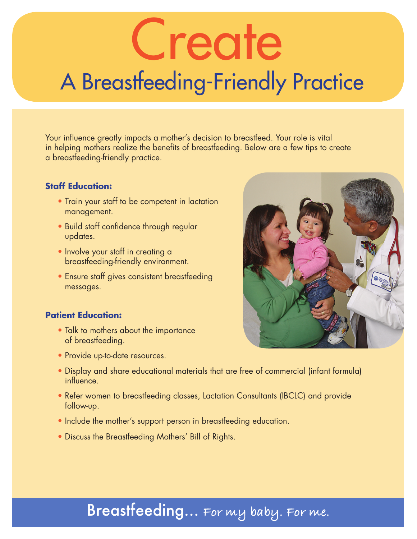# Create A Breastfeeding-Friendly Practice

Your influence greatly impacts a mother's decision to breastfeed. Your role is vital in helping mothers realize the benefits of breastfeeding. Below are a few tips to create a breastfeeding-friendly practice.

#### **Staff Education:**

- Train your staff to be competent in lactation management.
- Build staff confidence through regular updates.
- Involve your staff in creating a breastfeeding-friendly environment.
- Ensure staff gives consistent breastfeeding messages.

#### **Patient Education:**

- Talk to mothers about the importance of breastfeeding.
- Provide up-to-date resources.
- Display and share educational materials that are free of commercial (infant formula) influence.
- Refer women to breastfeeding classes, Lactation Consultants (IBCLC) and provide follow-up.
- Include the mother's support person in breastfeeding education.
- Discuss the Breastfeeding Mothers' Bill of Rights.



### Breastfeeding… **For my baby. For me.**